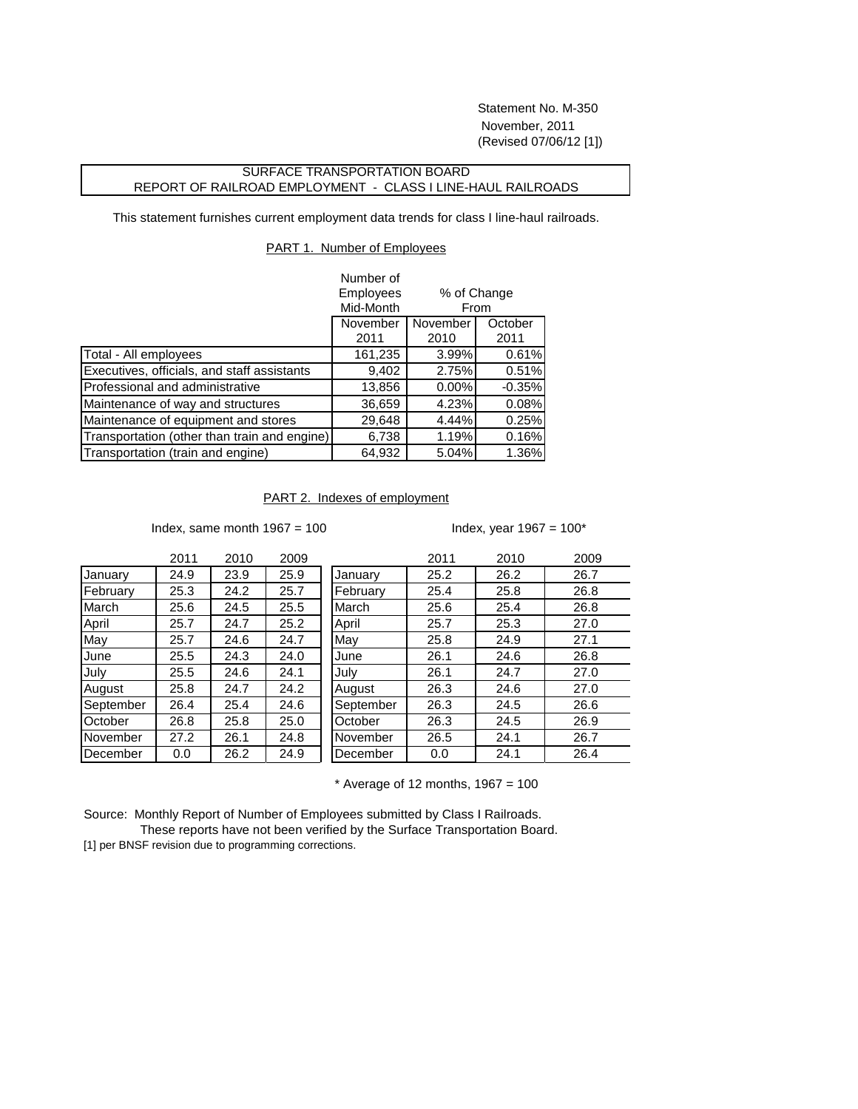Statement No. M-350 November, 2011 (Revised 07/06/12 [1])

## SURFACE TRANSPORTATION BOARD REPORT OF RAILROAD EMPLOYMENT - CLASS I LINE-HAUL RAILROADS

This statement furnishes current employment data trends for class I line-haul railroads.

## PART 1. Number of Employees

|                                              | Number of        |                                            |          |
|----------------------------------------------|------------------|--------------------------------------------|----------|
|                                              | <b>Employees</b> | % of Change<br>From<br>November<br>October |          |
|                                              | Mid-Month        |                                            |          |
|                                              | November         |                                            |          |
|                                              | 2011             | 2010                                       | 2011     |
| Total - All employees                        | 161,235          | 3.99%                                      | 0.61%    |
| Executives, officials, and staff assistants  | 9,402            | 2.75%                                      | 0.51%    |
| Professional and administrative              | 13,856           | 0.00%                                      | $-0.35%$ |
| Maintenance of way and structures            | 36,659           | 4.23%                                      | 0.08%    |
| Maintenance of equipment and stores          | 29,648           | 4.44%                                      | 0.25%    |
| Transportation (other than train and engine) | 6,738            | 1.19%                                      | 0.16%    |
| Transportation (train and engine)            | 64,932           | 5.04%                                      | 1.36%    |

## PART 2. Indexes of employment

Index, same month  $1967 = 100$  Index, year  $1967 = 100^*$ 

|           | 2011 | 2010 | 2009 |           | 2011 | 2010 | 2009 |
|-----------|------|------|------|-----------|------|------|------|
| January   | 24.9 | 23.9 | 25.9 | January   | 25.2 | 26.2 | 26.7 |
| February  | 25.3 | 24.2 | 25.7 | February  | 25.4 | 25.8 | 26.8 |
| March     | 25.6 | 24.5 | 25.5 | March     | 25.6 | 25.4 | 26.8 |
| April     | 25.7 | 24.7 | 25.2 | April     | 25.7 | 25.3 | 27.0 |
| May       | 25.7 | 24.6 | 24.7 | May       | 25.8 | 24.9 | 27.1 |
| June      | 25.5 | 24.3 | 24.0 | June      | 26.1 | 24.6 | 26.8 |
| July      | 25.5 | 24.6 | 24.1 | July      | 26.1 | 24.7 | 27.0 |
| August    | 25.8 | 24.7 | 24.2 | August    | 26.3 | 24.6 | 27.0 |
| September | 26.4 | 25.4 | 24.6 | September | 26.3 | 24.5 | 26.6 |
| October   | 26.8 | 25.8 | 25.0 | October   | 26.3 | 24.5 | 26.9 |
| November  | 27.2 | 26.1 | 24.8 | November  | 26.5 | 24.1 | 26.7 |
| December  | 0.0  | 26.2 | 24.9 | December  | 0.0  | 24.1 | 26.4 |

 $*$  Average of 12 months, 1967 = 100

Source: Monthly Report of Number of Employees submitted by Class I Railroads.

 These reports have not been verified by the Surface Transportation Board. [1] per BNSF revision due to programming corrections.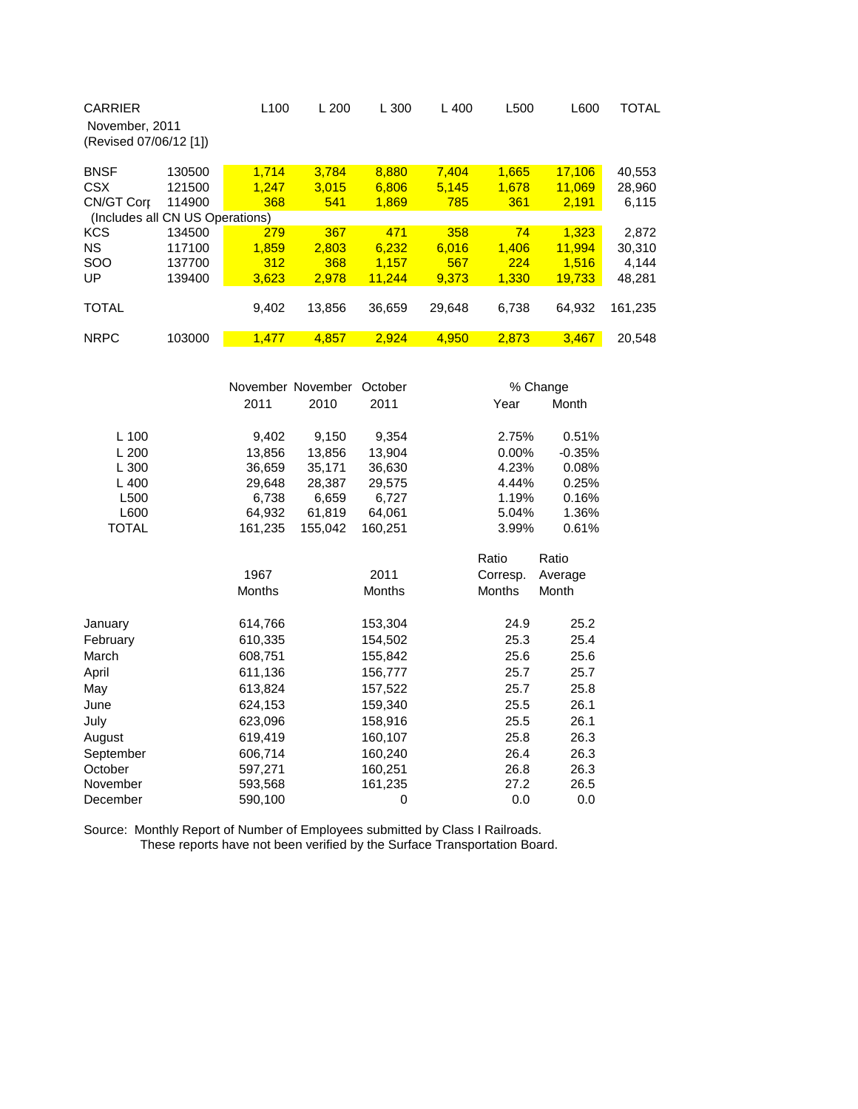| <b>CARRIER</b><br>November, 2011<br>(Revised 07/06/12 [1]) |        | L <sub>100</sub> | L200   | L 300  | $L$ 400 | L500  | L600   | <b>TOTAL</b> |  |
|------------------------------------------------------------|--------|------------------|--------|--------|---------|-------|--------|--------------|--|
| <b>BNSF</b>                                                | 130500 | 1.714            | 3.784  | 8,880  | 7.404   | 1.665 | 17,106 | 40,553       |  |
| <b>CSX</b>                                                 | 121500 | 1.247            | 3.015  | 6.806  | 5,145   | 1.678 | 11.069 | 28,960       |  |
| CN/GT Corp                                                 | 114900 | 368              | 541    | 1,869  | 785     | 361   | 2,191  | 6,115        |  |
| (Includes all CN US Operations)                            |        |                  |        |        |         |       |        |              |  |
| <b>KCS</b>                                                 | 134500 | 279              | 367    | 471    | 358     | 74    | 1.323  | 2,872        |  |
| <b>NS</b>                                                  | 117100 | 1.859            | 2.803  | 6.232  | 6.016   | 1.406 | 11.994 | 30.310       |  |
| <b>SOO</b>                                                 | 137700 | 312              | 368    | 1,157  | 567     | 224   | 1.516  | 4,144        |  |
| UP                                                         | 139400 | 3,623            | 2,978  | 11.244 | 9.373   | 1,330 | 19,733 | 48,281       |  |
|                                                            |        |                  |        |        |         |       |        |              |  |
| <b>TOTAL</b>                                               |        | 9,402            | 13,856 | 36,659 | 29,648  | 6,738 | 64,932 | 161,235      |  |
|                                                            |        |                  |        |        |         |       |        |              |  |
| <b>NRPC</b>                                                | 103000 | 1,477            | 4,857  | 2,924  | 4,950   | 2,873 | 3,467  | 20,548       |  |

|              |               | November November |               |               | % Change |  |  |
|--------------|---------------|-------------------|---------------|---------------|----------|--|--|
|              | 2011          | 2010              | 2011          | Year          | Month    |  |  |
| L 100        | 9,402         | 9,150             | 9,354         | 2.75%         | 0.51%    |  |  |
| L200         | 13,856        | 13,856            | 13,904        | $0.00\%$      | $-0.35%$ |  |  |
| L300         | 36,659        | 35,171            | 36,630        | 4.23%         | 0.08%    |  |  |
| L400         | 29,648        | 28,387            | 29,575        | 4.44%         | 0.25%    |  |  |
| L500         | 6,738         | 6,659             | 6,727         | 1.19%         | 0.16%    |  |  |
| L600         | 64,932        | 61,819            | 64,061        | 5.04%         | 1.36%    |  |  |
| <b>TOTAL</b> | 161,235       | 155,042           | 160,251       | 3.99%         | 0.61%    |  |  |
|              |               |                   |               | Ratio         | Ratio    |  |  |
|              | 1967          |                   | 2011          | Corresp.      | Average  |  |  |
|              | <b>Months</b> |                   | <b>Months</b> | <b>Months</b> | Month    |  |  |
| January      | 614,766       |                   | 153,304       | 24.9          | 25.2     |  |  |
| February     | 610,335       |                   | 154,502       | 25.3          | 25.4     |  |  |
| March        | 608,751       |                   | 155,842       | 25.6          | 25.6     |  |  |
| April        | 611,136       |                   | 156,777       | 25.7          | 25.7     |  |  |
| May          | 613,824       |                   | 157,522       | 25.7          | 25.8     |  |  |
| June         | 624,153       |                   | 159,340       | 25.5          | 26.1     |  |  |
| July         | 623,096       |                   | 158,916       | 25.5          | 26.1     |  |  |
| August       | 619,419       |                   | 160,107       | 25.8          | 26.3     |  |  |
| September    | 606,714       |                   | 160,240       | 26.4          | 26.3     |  |  |
| October      | 597,271       |                   | 160,251       | 26.8          | 26.3     |  |  |
| November     | 593,568       |                   | 161,235       | 27.2          | 26.5     |  |  |
| December     | 590,100       |                   | 0             | 0.0           | 0.0      |  |  |

Source: Monthly Report of Number of Employees submitted by Class I Railroads. These reports have not been verified by the Surface Transportation Board.